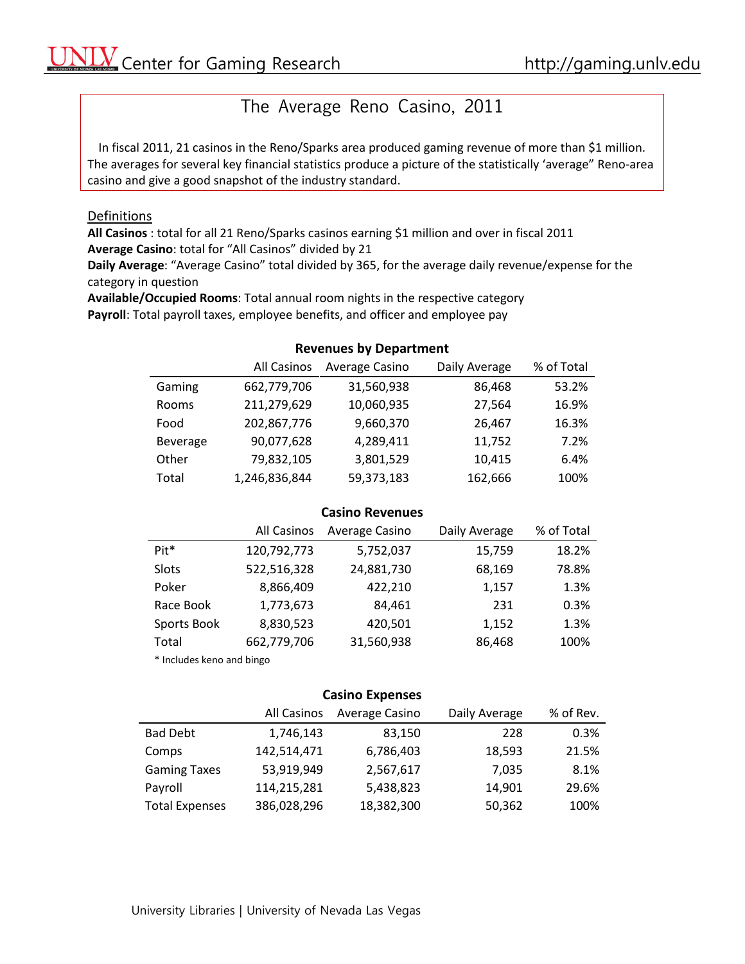# The Average Reno Casino, 2011

In fiscal 2011, 21 casinos in the Reno/Sparks area produced gaming revenue of more than \$1 million. The averages for several key financial statistics produce a picture of the statistically 'average" Reno-area casino and give a good snapshot of the industry standard.

### Definitions

**All Casinos** : total for all 21 Reno/Sparks casinos earning \$1 million and over in fiscal 2011 **Average Casino**: total for "All Casinos" divided by 21

**Daily Average**: "Average Casino" total divided by 365, for the average daily revenue/expense for the category in question

**Available/Occupied Rooms**: Total annual room nights in the respective category **Payroll**: Total payroll taxes, employee benefits, and officer and employee pay

### **Revenues by Department**

|          | All Casinos   | Average Casino | Daily Average | % of Total |
|----------|---------------|----------------|---------------|------------|
| Gaming   | 662,779,706   | 31,560,938     | 86,468        | 53.2%      |
| Rooms    | 211,279,629   | 10,060,935     | 27,564        | 16.9%      |
| Food     | 202,867,776   | 9,660,370      | 26,467        | 16.3%      |
| Beverage | 90,077,628    | 4,289,411      | 11,752        | 7.2%       |
| Other    | 79,832,105    | 3,801,529      | 10,415        | 6.4%       |
| Total    | 1,246,836,844 | 59,373,183     | 162,666       | 100%       |

### **Casino Revenues**

|                           | All Casinos | Average Casino | Daily Average | % of Total |
|---------------------------|-------------|----------------|---------------|------------|
| Pit <sup>*</sup>          | 120,792,773 | 5,752,037      | 15,759        | 18.2%      |
| Slots                     | 522,516,328 | 24,881,730     | 68,169        | 78.8%      |
| Poker                     | 8,866,409   | 422,210        | 1,157         | 1.3%       |
| Race Book                 | 1,773,673   | 84.461         | 231           | 0.3%       |
| Sports Book               | 8,830,523   | 420,501        | 1,152         | 1.3%       |
| Total                     | 662,779,706 | 31,560,938     | 86,468        | 100%       |
| * Includes keno and bingo |             |                |               |            |

## **Casino Expenses**

|                       | All Casinos | Average Casino | Daily Average | % of Rev. |
|-----------------------|-------------|----------------|---------------|-----------|
| <b>Bad Debt</b>       | 1,746,143   | 83,150         | 228           | 0.3%      |
| Comps                 | 142,514,471 | 6,786,403      | 18,593        | 21.5%     |
| <b>Gaming Taxes</b>   | 53,919,949  | 2,567,617      | 7,035         | 8.1%      |
| Payroll               | 114,215,281 | 5,438,823      | 14,901        | 29.6%     |
| <b>Total Expenses</b> | 386,028,296 | 18,382,300     | 50,362        | 100%      |